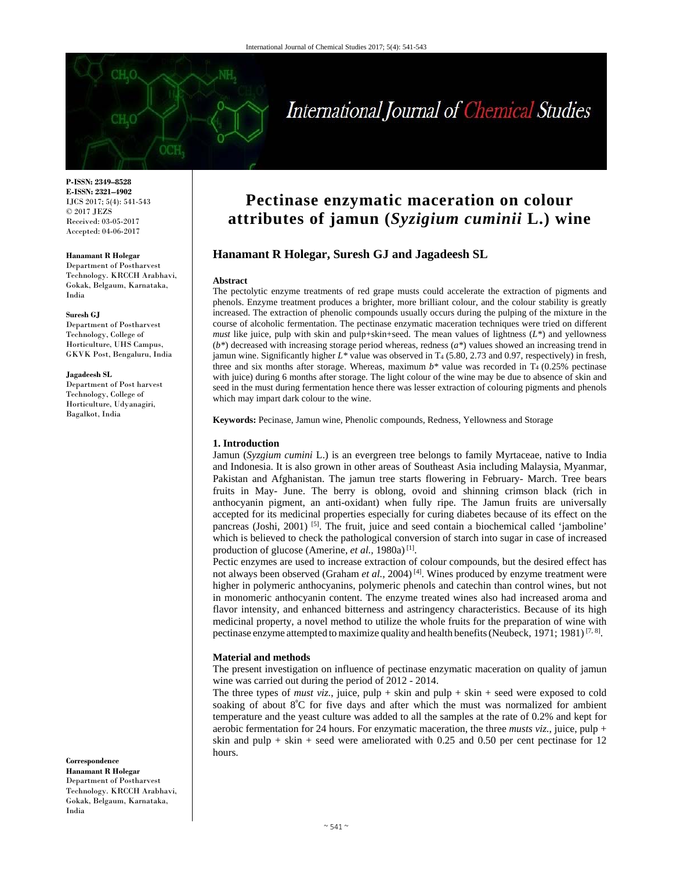# International Journal of Chemical Studies

**P-ISSN: 2349–8528 E-ISSN: 2321–4902**  IJCS 2017; 5(4): 541-543 © 2017 JEZS Received: 03-05-2017 Accepted: 04-06-2017

#### **Hanamant R Holegar**

Department of Postharvest Technology. KRCCH Arabhavi, Gokak, Belgaum, Karnataka, India

#### **Suresh GJ**

Department of Postharvest Technology, College of Horticulture, UHS Campus, GKVK Post, Bengaluru, India

#### **Jagadeesh SL**

Department of Post harvest Technology, College of Horticulture, Udyanagiri, Bagalkot, India

**Correspondence Hanamant R Holegar**  Department of Postharvest Technology. KRCCH Arabhavi, Gokak, Belgaum, Karnataka, India

# **Pectinase enzymatic maceration on colour attributes of jamun (***Syzigium cuminii* **L.) wine**

# **Hanamant R Holegar, Suresh GJ and Jagadeesh SL**

#### **Abstract**

The pectolytic enzyme treatments of red grape musts could accelerate the extraction of pigments and phenols. Enzyme treatment produces a brighter, more brilliant colour, and the colour stability is greatly increased. The extraction of phenolic compounds usually occurs during the pulping of the mixture in the course of alcoholic fermentation. The pectinase enzymatic maceration techniques were tried on different *must* like juice, pulp with skin and pulp+skin+seed. The mean values of lightness (*L\**) and yellowness (*b\**) decreased with increasing storage period whereas, redness (*a\**) values showed an increasing trend in jamun wine. Significantly higher *L\** value was observed in T4 (5.80, 2.73 and 0.97, respectively) in fresh, three and six months after storage. Whereas, maximum  $b^*$  value was recorded in T<sub>4</sub> (0.25% pectinase) with juice) during 6 months after storage. The light colour of the wine may be due to absence of skin and seed in the must during fermentation hence there was lesser extraction of colouring pigments and phenols which may impart dark colour to the wine.

**Keywords:** Pecinase, Jamun wine, Phenolic compounds, Redness, Yellowness and Storage

#### **1. Introduction**

Jamun (*Syzgium cumini* L.) is an evergreen tree belongs to family Myrtaceae, native to India and Indonesia. It is also grown in other areas of Southeast Asia including Malaysia, Myanmar, Pakistan and Afghanistan. The jamun tree starts flowering in February- March. Tree bears fruits in May- June. The berry is oblong, ovoid and shinning crimson black (rich in anthocyanin pigment, an anti-oxidant) when fully ripe. The Jamun fruits are universally accepted for its medicinal properties especially for curing diabetes because of its effect on the pancreas (Joshi, 2001) <sup>[5]</sup>. The fruit, juice and seed contain a biochemical called 'jamboline' which is believed to check the pathological conversion of starch into sugar in case of increased production of glucose (Amerine, *et al.*, 1980a)<sup>[1]</sup>.

Pectic enzymes are used to increase extraction of colour compounds, but the desired effect has not always been observed (Graham *et al.,* 2004) [4]. Wines produced by enzyme treatment were higher in polymeric anthocyanins, polymeric phenols and catechin than control wines, but not in monomeric anthocyanin content. The enzyme treated wines also had increased aroma and flavor intensity, and enhanced bitterness and astringency characteristics. Because of its high medicinal property, a novel method to utilize the whole fruits for the preparation of wine with pectinase enzyme attempted to maximize quality and health benefits (Neubeck, 1971; 1981)<sup>[7, 8]</sup>.

#### **Material and methods**

The present investigation on influence of pectinase enzymatic maceration on quality of jamun wine was carried out during the period of 2012 - 2014.

The three types of *must viz.*, juice, pulp  $+$  skin and pulp  $+$  skin  $+$  seed were exposed to cold soaking of about  $8^{\circ}$ C for five days and after which the must was normalized for ambient temperature and the yeast culture was added to all the samples at the rate of 0.2% and kept for aerobic fermentation for 24 hours. For enzymatic maceration, the three *musts viz.*, juice, pulp + skin and pulp + skin + seed were ameliorated with 0.25 and 0.50 per cent pectinase for 12 hours.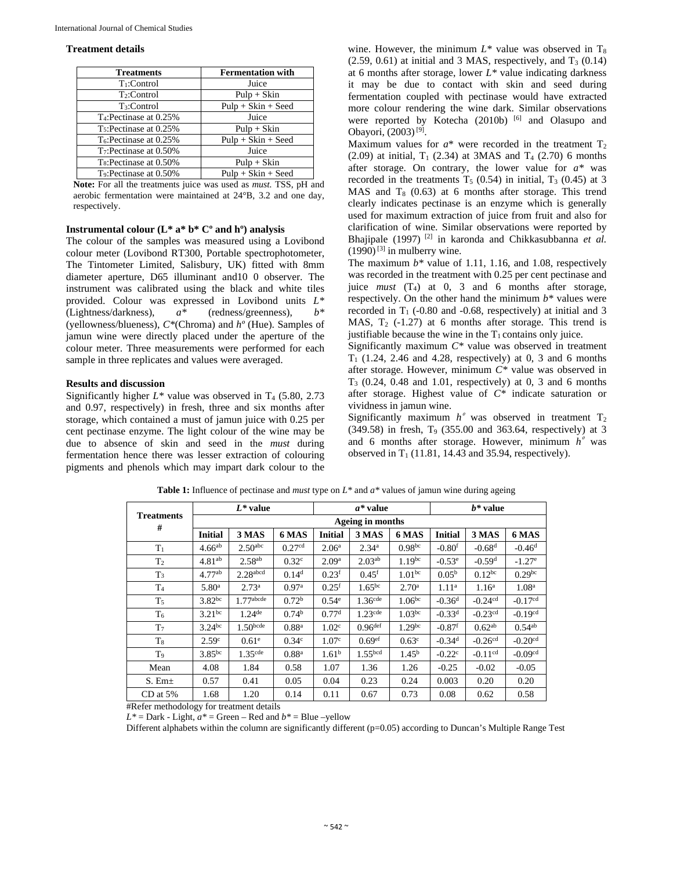#### **Treatment details**

| <b>Treatments</b>                   | <b>Fermentation with</b> |  |  |
|-------------------------------------|--------------------------|--|--|
| $T_1$ :Control                      | Juice                    |  |  |
| $T_2$ :Control                      | $Pulp + Skin$            |  |  |
| T <sub>3</sub> :Control             | $Pulp + Skin + Seed$     |  |  |
| T <sub>4</sub> : Pectinase at 0.25% | Juice                    |  |  |
| T <sub>5</sub> : Pectinase at 0.25% | $Pulp + Skin$            |  |  |
| T <sub>6</sub> : Pectinase at 0.25% | $Pulp + Skin + Seed$     |  |  |
| T <sub>7</sub> : Pectinase at 0.50% | Juice                    |  |  |
| T <sub>8</sub> :Pectinase at 0.50%  | $Pulp + Skin$            |  |  |
| T <sub>9</sub> :Pectinase at 0.50%  | $Pulp + Skin + Seed$     |  |  |

**Note:** For all the treatments juice was used as *must.* TSS, pH and aerobic fermentation were maintained at 24°B, 3.2 and one day, respectively.

# **Instrumental colour (L\* a\* b\* Cº and hº) analysis**

The colour of the samples was measured using a Lovibond colour meter (Lovibond RT300, Portable spectrophotometer, The Tintometer Limited, Salisbury, UK) fitted with 8mm diameter aperture, D65 illuminant and10 0 observer. The instrument was calibrated using the black and white tiles provided. Colour was expressed in Lovibond units *L\** (Lightness/darkness), *a\** (redness/greenness), *b\** (yellowness/blueness), *C\**(Chroma) and *hº* (Hue). Samples of jamun wine were directly placed under the aperture of the colour meter. Three measurements were performed for each sample in three replicates and values were averaged.

### **Results and discussion**

Significantly higher  $L^*$  value was observed in  $T_4$  (5.80, 2.73) and 0.97, respectively) in fresh, three and six months after storage, which contained a must of jamun juice with 0.25 per cent pectinase enzyme. The light colour of the wine may be due to absence of skin and seed in the *must* during fermentation hence there was lesser extraction of colouring pigments and phenols which may impart dark colour to the

wine. However, the minimum  $L^*$  value was observed in  $T_8$  $(2.59, 0.61)$  at initial and 3 MAS, respectively, and  $T<sub>3</sub>$  (0.14) at 6 months after storage, lower *L\** value indicating darkness it may be due to contact with skin and seed during fermentation coupled with pectinase would have extracted more colour rendering the wine dark. Similar observations were reported by Kotecha (2010b) [6] and Olasupo and Obayori, (2003) [9].

Maximum values for  $a^*$  were recorded in the treatment  $T_2$ (2.09) at initial,  $T_1$  (2.34) at 3MAS and  $T_4$  (2.70) 6 months after storage. On contrary, the lower value for *a\** was recorded in the treatments  $T<sub>5</sub>$  (0.54) in initial,  $T<sub>3</sub>$  (0.45) at 3 MAS and  $T_8$  (0.63) at 6 months after storage. This trend clearly indicates pectinase is an enzyme which is generally used for maximum extraction of juice from fruit and also for clarification of wine. Similar observations were reported by Bhajipale (1997) [2] in karonda and Chikkasubbanna *et al.*   $(1990)$ <sup>[3]</sup> in mulberry wine.

The maximum *b\** value of 1.11, 1.16, and 1.08, respectively was recorded in the treatment with 0.25 per cent pectinase and juice *must* (T4) at 0, 3 and 6 months after storage, respectively. On the other hand the minimum *b\** values were recorded in  $T_1$  (-0.80 and -0.68, respectively) at initial and 3 MAS,  $T_2$  (-1.27) at 6 months after storage. This trend is justifiable because the wine in the  $T_1$  contains only juice.

Significantly maximum *C\** value was observed in treatment  $T_1$  (1.24, 2.46 and 4.28, respectively) at 0, 3 and 6 months after storage. However, minimum *C\** value was observed in  $T<sub>3</sub>$  (0.24, 0.48 and 1.01, respectively) at 0, 3 and 6 months after storage. Highest value of *C\** indicate saturation or vividness in jamun wine.

Significantly maximum  $h^{\circ}$  was observed in treatment  $T_2$ (349.58) in fresh, T9 (355.00 and 363.64, respectively) at 3 and 6 months after storage. However, minimum  $h^{\circ}$  was observed in  $T_1$  (11.81, 14.43 and 35.94, respectively).

|                        | $L^*$ value        |                      |                    | $a^*$ value       |                       |                    | $b^*$ value          |                       |                       |
|------------------------|--------------------|----------------------|--------------------|-------------------|-----------------------|--------------------|----------------------|-----------------------|-----------------------|
| <b>Treatments</b><br># | Ageing in months   |                      |                    |                   |                       |                    |                      |                       |                       |
|                        | <b>Initial</b>     | 3 MAS                | <b>6 MAS</b>       | <b>Initial</b>    | 3 MAS                 | <b>6 MAS</b>       | <b>Initial</b>       | 3 MAS                 | 6 MAS                 |
| $T_1$                  | $4.66^{ab}$        | 2.50 <sup>abc</sup>  | 0.27 <sup>cd</sup> | 2.06 <sup>a</sup> | $2.34^{a}$            | 0.98 <sup>bc</sup> | $-0.80f$             | $-0.68$ <sup>d</sup>  | $-0.46d$              |
| T <sub>2</sub>         | 4.81 <sup>ab</sup> | 2.58 <sup>ab</sup>   | 0.32 <sup>c</sup>  | 2.09 <sup>a</sup> | 2.03 <sup>ab</sup>    | 1.19 <sup>bc</sup> | $-0.53^{\circ}$      | $-0.59d$              | $-1.27$ <sup>e</sup>  |
| $T_3$                  | 4.77 <sup>ab</sup> | $2.28$ abcd          | 0.14 <sup>d</sup>  | 0.23 <sup>f</sup> | $0.45^{\rm f}$        | 1.01 <sup>bc</sup> | $0.05^{\rm b}$       | $0.12^{bc}$           | $0.29$ bc             |
| T <sub>4</sub>         | 5.80 <sup>a</sup>  | $2.73^{\rm a}$       | 0.97 <sup>a</sup>  | 0.25 <sup>f</sup> | $1.65^{bc}$           | 2.70 <sup>a</sup>  | 1.11 <sup>a</sup>    | $1.16^{\rm a}$        | 1.08 <sup>a</sup>     |
| T <sub>5</sub>         | $3.82^{bc}$        | $1.77$ abcde         | 0.72 <sup>b</sup>  | 0.54 <sup>e</sup> | $1.36$ <sup>cde</sup> | $1.06^{bc}$        | $-0.36d$             | $-0.24cd$             | $-0.17cd$             |
| T <sub>6</sub>         | $3.21^{bc}$        | $1.24$ <sup>de</sup> | 0.74 <sup>b</sup>  | 0.77 <sup>d</sup> | $1.23$ <sup>cde</sup> | $1.03^{bc}$        | $-0.33d$             | $-0.23cd$             | $-0.19cd$             |
| T <sub>7</sub>         | $3.24^{bc}$        | $1.50$ bcde          | 0.88 <sup>a</sup>  | 1.02 <sup>c</sup> | $0.96$ def            | 1.29 <sup>bc</sup> | $-0.87$ <sup>f</sup> | 0.62 <sup>ab</sup>    | $0.54$ <sup>ab</sup>  |
| $T_8$                  | 2.59 <sup>c</sup>  | 0.61 <sup>e</sup>    | 0.34 <sup>c</sup>  | 1.07 <sup>c</sup> | 0.69 <sup>ef</sup>    | 0.63 <sup>c</sup>  | $-0.34$ <sup>d</sup> | $-0.26$ <sup>cd</sup> | $-0.20$ <sup>cd</sup> |
| T <sub>9</sub>         | $3.85^{bc}$        | 1.35 <sup>cde</sup>  | 0.88 <sup>a</sup>  | 1.61 <sup>b</sup> | 1.55 <sup>bcd</sup>   | $1.45^{\rm b}$     | $-0.22^{\circ}$      | $-0.11cd$             | $-0.09cd$             |
| Mean                   | 4.08               | 1.84                 | 0.58               | 1.07              | 1.36                  | 1.26               | $-0.25$              | $-0.02$               | $-0.05$               |
| $S.$ Em $\pm$          | 0.57               | 0.41                 | 0.05               | 0.04              | 0.23                  | 0.24               | 0.003                | 0.20                  | 0.20                  |
| $CD$ at 5%             | 1.68               | 1.20                 | 0.14               | 0.11              | 0.67                  | 0.73               | 0.08                 | 0.62                  | 0.58                  |

**Table 1:** Influence of pectinase and *must* type on *L\** and *a\** values of jamun wine during ageing

#Refer methodology for treatment details

 $L^*$  = Dark - Light,  $a^*$  = Green – Red and  $b^*$  = Blue –yellow

Different alphabets within the column are significantly different (p=0.05) according to Duncan's Multiple Range Test